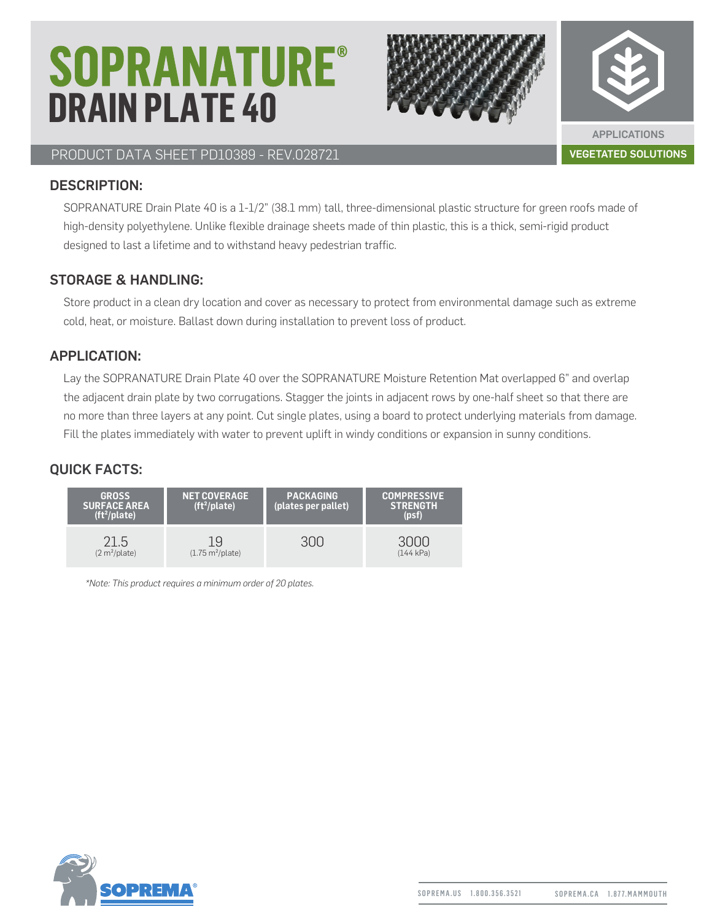# **SOPRANATURE® DRAIN PLATE 40**



APPLICATIONS

#### PRODUCT DATA SHEET PD10389 - REV.028721 VEGETATED SOLUTIONS

#### DESCRIPTION:

SOPRANATURE Drain Plate 40 is a 1-1/2" (38.1 mm) tall, three-dimensional plastic structure for green roofs made of high-density polyethylene. Unlike flexible drainage sheets made of thin plastic, this is a thick, semi-rigid product designed to last a lifetime and to withstand heavy pedestrian traffic.

#### STORAGE & HANDLING:

Store product in a clean dry location and cover as necessary to protect from environmental damage such as extreme cold, heat, or moisture. Ballast down during installation to prevent loss of product.

#### APPLICATION:

Lay the SOPRANATURE Drain Plate 40 over the SOPRANATURE Moisture Retention Mat overlapped 6" and overlap the adjacent drain plate by two corrugations. Stagger the joints in adjacent rows by one-half sheet so that there are no more than three layers at any point. Cut single plates, using a board to protect underlying materials from damage. Fill the plates immediately with water to prevent uplift in windy conditions or expansion in sunny conditions.

#### QUICK FACTS:

| <b>GROSS</b><br><b>SURFACE AREA</b><br>$(ft^2)$ plate) | <b>NET COVERAGE</b><br>$(ft^2)$ plate)  | <b>PACKAGING</b><br>(plates per pallet) | <b>COMPRESSIVE</b><br><b>STRENGTH</b><br>(psf) |
|--------------------------------------------------------|-----------------------------------------|-----------------------------------------|------------------------------------------------|
| 21.5<br>(2 m <sup>2</sup> /plate)                      | 19<br>$(1.75 \text{ m}^2/\text{plate})$ |                                         | (144 kPa)                                      |

*\*Note: This product requires a minimum order of 20 plates.*